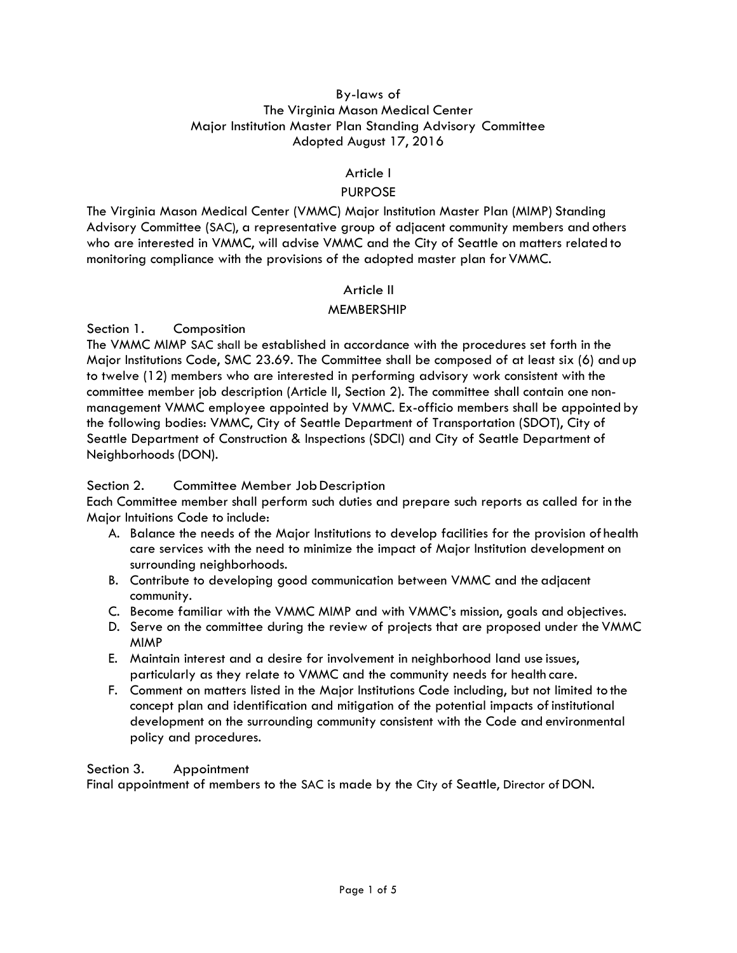### By-laws of The Virginia Mason Medical Center Major Institution Master Plan Standing Advisory Committee Adopted August 17, 2016

## Article I

## PURPOSE

The Virginia Mason Medical Center (VMMC) Major Institution Master Plan (MIMP) Standing Advisory Committee (SAC), a representative group of adjacent community members and others who are interested in VMMC, will advise VMMC and the City of Seattle on matters related to monitoring compliance with the provisions of the adopted master plan for VMMC.

### Article II

### MEMBERSHIP

Section 1. Composition

The VMMC MIMP SAC shall be established in accordance with the procedures set forth in the Major Institutions Code, SMC 23.69. The Committee shall be composed of at least six (6) and up to twelve (12) members who are interested in performing advisory work consistent with the committee member job description (Article II, Section 2). The committee shall contain one nonmanagement VMMC employee appointed by VMMC. Ex-officio members shall be appointed by the following bodies: VMMC, City of Seattle Department of Transportation (SDOT), City of Seattle Department of Construction & Inspections (SDCI) and City of Seattle Department of Neighborhoods (DON).

### Section 2. Committee Member Job Description

Each Committee member shall perform such duties and prepare such reports as called for in the Major Intuitions Code to include:

- A. Balance the needs of the Major Institutions to develop facilities for the provision of health care services with the need to minimize the impact of Major Institution development on surrounding neighborhoods.
- B. Contribute to developing good communication between VMMC and the adjacent community.
- C. Become familiar with the VMMC MIMP and with VMMC's mission, goals and objectives.
- D. Serve on the committee during the review of projects that are proposed under the VMMC MIMP
- E. Maintain interest and a desire for involvement in neighborhood land use issues, particularly as they relate to VMMC and the community needs for health care.
- F. Comment on matters listed in the Major Institutions Code including, but not limited to the concept plan and identification and mitigation of the potential impacts ofinstitutional development on the surrounding community consistent with the Code and environmental policy and procedures.

### Section 3. Appointment

Final appointment of members to the SAC is made by the City of Seattle, Director of DON.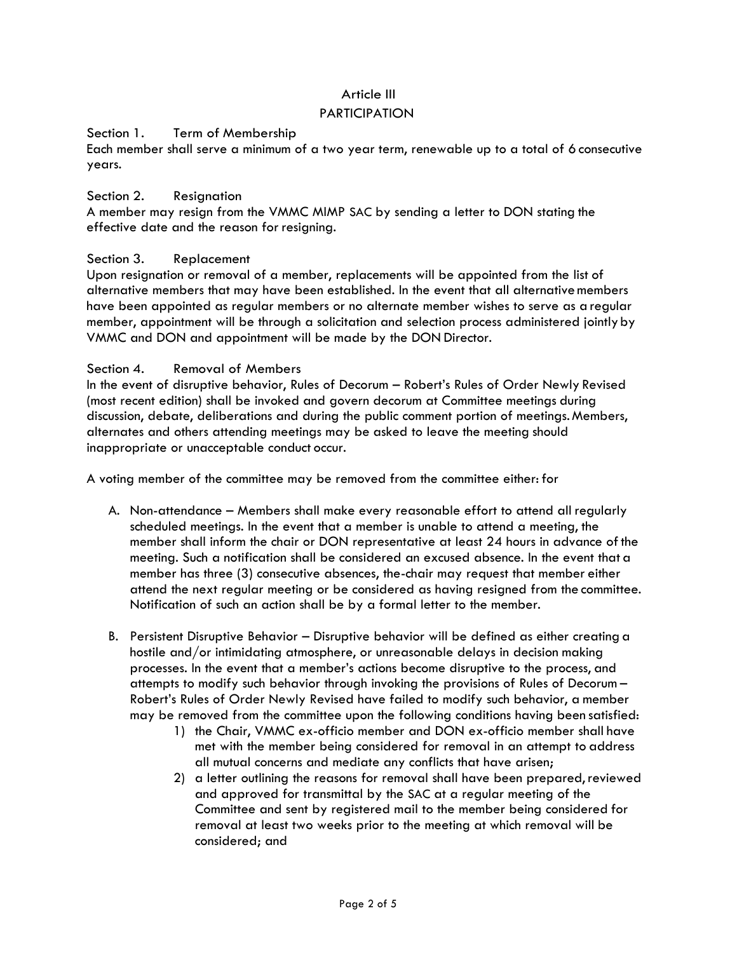# Article III

### PARTICIPATION

### Section 1. Term of Membership

Each member shall serve a minimum of a two year term, renewable up to a total of 6 consecutive years.

#### Section 2. Resignation

A member may resign from the VMMC MIMP SAC by sending a letter to DON stating the effective date and the reason for resigning.

#### Section 3. Replacement

Upon resignation or removal of a member, replacements will be appointed from the list of alternative members that may have been established. In the event that all alternativemembers have been appointed as regular members or no alternate member wishes to serve as a regular member, appointment will be through a solicitation and selection process administered jointlyby VMMC and DON and appointment will be made by the DON Director.

#### Section 4. Removal of Members

In the event of disruptive behavior, Rules of Decorum – Robert's Rules of Order Newly Revised (most recent edition) shall be invoked and govern decorum at Committee meetings during discussion, debate, deliberations and during the public comment portion of meetings.Members, alternates and others attending meetings may be asked to leave the meeting should inappropriate or unacceptable conduct occur.

A voting member of the committee may be removed from the committee either: for

- A. Non-attendance Members shall make every reasonable effort to attend all regularly scheduled meetings. In the event that a member is unable to attend a meeting, the member shall inform the chair or DON representative at least 24 hours in advance of the meeting. Such a notification shall be considered an excused absence. In the event that a member has three (3) consecutive absences, the-chair may request that member either attend the next regular meeting or be considered as having resigned from the committee. Notification of such an action shall be by a formal letter to the member.
- B. Persistent Disruptive Behavior Disruptive behavior will be defined as either creating a hostile and/or intimidating atmosphere, or unreasonable delays in decision making processes. In the event that a member's actions become disruptive to the process, and attempts to modify such behavior through invoking the provisions of Rules of Decorum – Robert's Rules of Order Newly Revised have failed to modify such behavior, a member may be removed from the committee upon the following conditions having been satisfied:
	- 1) the Chair, VMMC ex-officio member and DON ex-officio member shall have met with the member being considered for removal in an attempt to address all mutual concerns and mediate any conflicts that have arisen;
	- 2) a letter outlining the reasons for removal shall have been prepared,reviewed and approved for transmittal by the SAC at a regular meeting of the Committee and sent by registered mail to the member being considered for removal at least two weeks prior to the meeting at which removal will be considered; and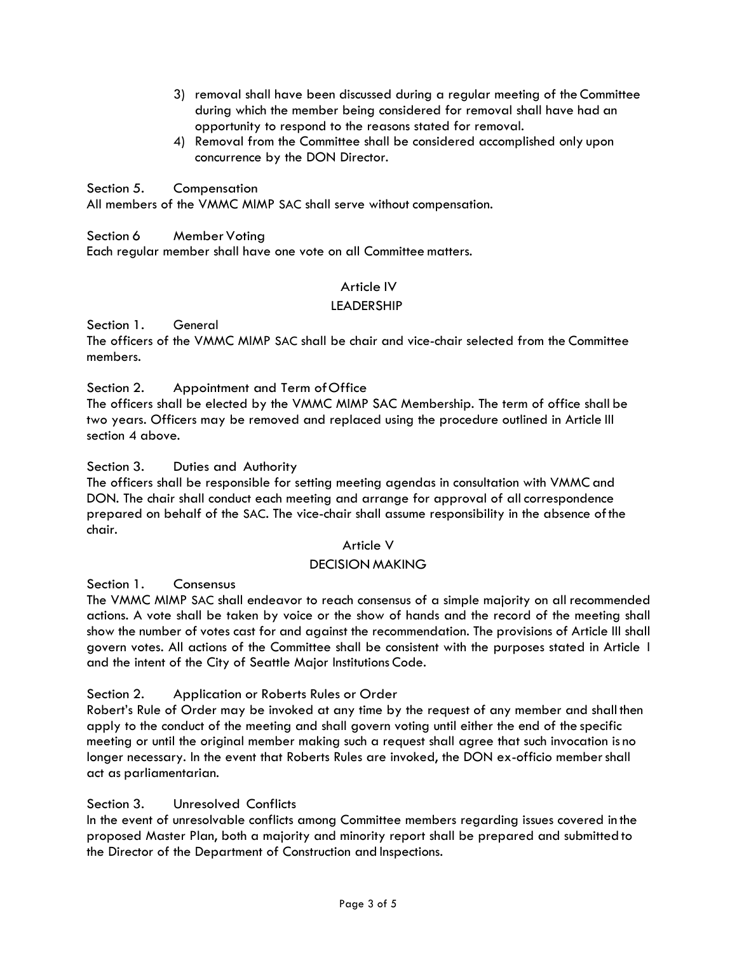- 3) removal shall have been discussed during a regular meeting of the Committee during which the member being considered for removal shall have had an opportunity to respond to the reasons stated for removal.
- 4) Removal from the Committee shall be considered accomplished only upon concurrence by the DON Director.

Section 5. Compensation

All members of the VMMC MIMP SAC shall serve without compensation.

## Section 6 Member Voting

Each regular member shall have one vote on all Committee matters.

### Article IV

### LEADERSHIP

Section 1. General

The officers of the VMMC MIMP SAC shall be chair and vice-chair selected from the Committee members.

### Section 2. Appointment and Term ofOffice

The officers shall be elected by the VMMC MIMP SAC Membership. The term of office shall be two years. Officers may be removed and replaced using the procedure outlined in Article III section 4 above.

### Section 3. Duties and Authority

The officers shall be responsible for setting meeting agendas in consultation with VMMC and DON. The chair shall conduct each meeting and arrange for approval of all correspondence prepared on behalf of the SAC. The vice-chair shall assume responsibility in the absence of the chair.

### Article V

### DECISION MAKING

Section 1. Consensus

The VMMC MIMP SAC shall endeavor to reach consensus of a simple majority on all recommended actions. A vote shall be taken by voice or the show of hands and the record of the meeting shall show the number of votes cast for and against the recommendation. The provisions of Article III shall govern votes. All actions of the Committee shall be consistent with the purposes stated in Article I and the intent of the City of Seattle Major Institutions Code.

Section 2. Application or Roberts Rules or Order

Robert's Rule of Order may be invoked at any time by the request of any member and shall then apply to the conduct of the meeting and shall govern voting until either the end of the specific meeting or until the original member making such a request shall agree that such invocation is no longer necessary. In the event that Roberts Rules are invoked, the DON ex-officio member shall act as parliamentarian.

## Section 3. Unresolved Conflicts

In the event of unresolvable conflicts among Committee members regarding issues covered in the proposed Master Plan, both a majority and minority report shall be prepared and submitted to the Director of the Department of Construction and Inspections.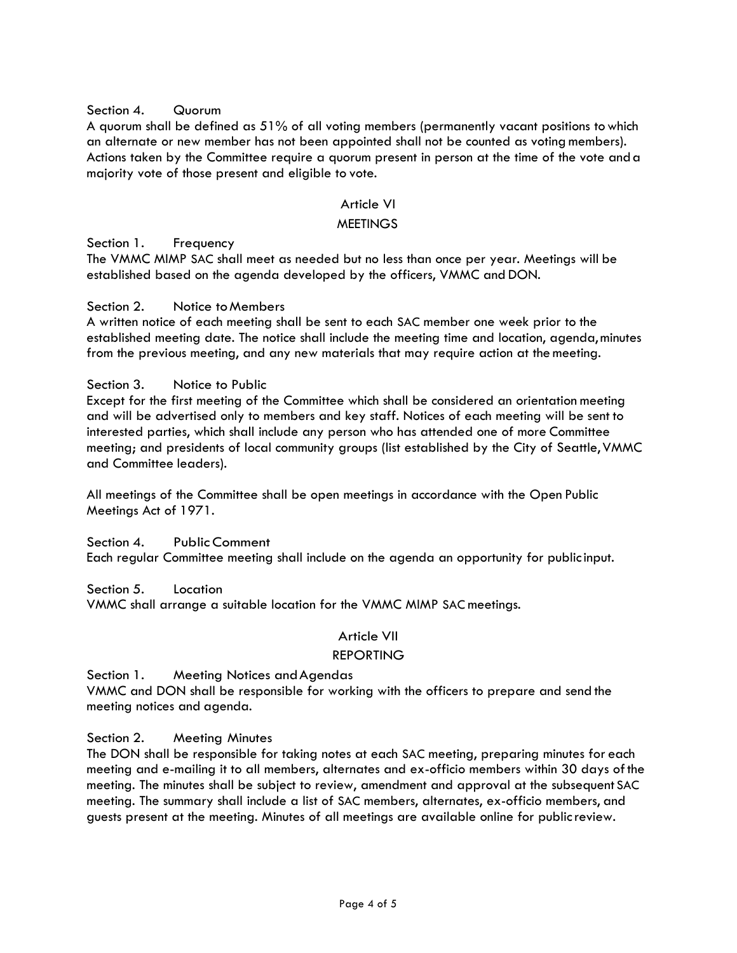### Section 4. Quorum

A quorum shall be defined as 51% of all voting members (permanently vacant positions towhich an alternate or new member has not been appointed shall not be counted as voting members). Actions taken by the Committee require a quorum present in person at the time of the vote anda majority vote of those present and eligible to vote.

### Article VI

### **MEETINGS**

Section 1. Frequency

The VMMC MIMP SAC shall meet as needed but no less than once per year. Meetings will be established based on the agenda developed by the officers, VMMC and DON.

#### Section 2. Notice to Members

A written notice of each meeting shall be sent to each SAC member one week prior to the established meeting date. The notice shall include the meeting time and location, agenda,minutes from the previous meeting, and any new materials that may require action at themeeting.

Section 3. Notice to Public

Except for the first meeting of the Committee which shall be considered an orientation meeting and will be advertised only to members and key staff. Notices of each meeting will be sent to interested parties, which shall include any person who has attended one of more Committee meeting; and presidents of local community groups (list established by the City of Seattle,VMMC and Committee leaders).

All meetings of the Committee shall be open meetings in accordance with the Open Public Meetings Act of 1971.

Section 4. Public Comment

Each regular Committee meeting shall include on the agenda an opportunity for publicinput.

Section 5. Location

VMMC shall arrange a suitable location for the VMMC MIMP SACmeetings.

## Article VII

#### REPORTING

Section 1. Meeting Notices and Agendas VMMC and DON shall be responsible for working with the officers to prepare and send the meeting notices and agenda.

### Section 2. Meeting Minutes

The DON shall be responsible for taking notes at each SAC meeting, preparing minutes for each meeting and e-mailing it to all members, alternates and ex-officio members within 30 days of the meeting. The minutes shall be subject to review, amendment and approval at the subsequent SAC meeting. The summary shall include a list of SAC members, alternates, ex-officio members, and guests present at the meeting. Minutes of all meetings are available online for publicreview.